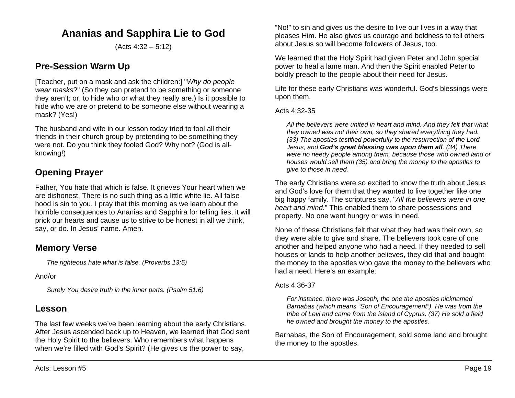# **Ananias and Sapphira Lie to God**

(Acts 4:32 – 5:12)

## **Pre-Session Warm Up**

[Teacher, put on a mask and ask the children:] "*Why do people wear masks*?" (So they can pretend to be something or someone they aren't; or, to hide who or what they really are.) Is it possible to hide who we are or pretend to be someone else without wearing a mask? (Yes!)

The husband and wife in our lesson today tried to fool all their friends in their church group by pretending to be something they were not. Do you think they fooled God? Why not? (God is allknowing!)

# **Opening Prayer**

Father, You hate that which is false. It grieves Your heart when we are dishonest. There is no such thing as a little white lie. All false hood is sin to you. I pray that this morning as we learn about the horrible consequences to Ananias and Sapphira for telling lies, it will prick our hearts and cause us to strive to be honest in all we think, say, or do. In Jesus' name. Amen.

## **Memory Verse**

*The righteous hate what is false. (Proverbs 13:5)*

### And/or

*Surely You desire truth in the inner parts. (Psalm 51:6)*

## **Lesson**

The last few weeks we've been learning about the early Christians. After Jesus ascended back up to Heaven, we learned that God sent the Holy Spirit to the believers. Who remembers what happens when we're filled with God's Spirit? (He gives us the power to say,

"No!" to sin and gives us the desire to live our lives in a way that pleases Him. He also gives us courage and boldness to tell others about Jesus so will become followers of Jesus, too.

We learned that the Holy Spirit had given Peter and John special power to heal a lame man. And then the Spirit enabled Peter to boldly preach to the people about their need for Jesus.

Life for these early Christians was wonderful. God's blessings were upon them.

#### Acts 4:32-35

*All the believers were united in heart and mind. And they felt that what they owned was not their own, so they shared everything they had. (33) The apostles testified powerfully to the resurrection of the Lord Jesus, and God's great blessing was upon them all. (34) There were no needy people among them, because those who owned land or houses would sell them (35) and bring the money to the apostles to give to those in need.*

The early Christians were so excited to know the truth about Jesus and God's love for them that they wanted to live together like one big happy family. The scriptures say, "*All the believers were in one heart and mind*." This enabled them to share possessions and property. No one went hungry or was in need.

None of these Christians felt that what they had was their own, so they were able to give and share. The believers took care of one another and helped anyone who had a need. If they needed to sell houses or lands to help another believes, they did that and bought the money to the apostles who gave the money to the believers who had a need. Here's an example:

### Acts 4:36-37

*For instance, there was Joseph, the one the apostles nicknamed Barnabas (which means "Son of Encouragement"). He was from the tribe of Levi and came from the island of Cyprus. (37) He sold a field he owned and brought the money to the apostles.*

Barnabas, the Son of Encouragement, sold some land and brought the money to the apostles.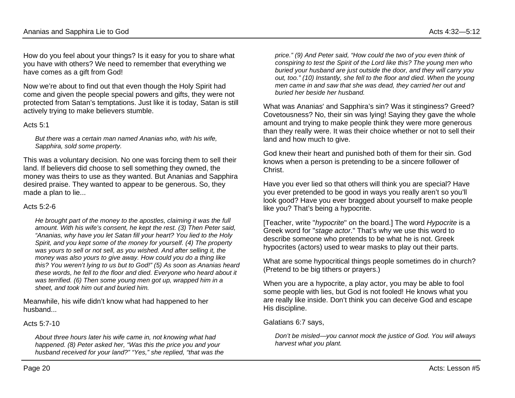How do you feel about your things? Is it easy for you to share what you have with others? We need to remember that everything we have comes as a gift from God!

Now we're about to find out that even though the Holy Spirit had come and given the people special powers and gifts, they were not protected from Satan's temptations. Just like it is today, Satan is still actively trying to make believers stumble.

#### Acts 5:1

*But there was a certain man named Ananias who, with his wife, Sapphira, sold some property.* 

This was a voluntary decision. No one was forcing them to sell their land. If believers did choose to sell something they owned, the money was theirs to use as they wanted. But Ananias and Sapphira desired praise. They wanted to appear to be generous. So, they made a plan to lie...

#### Acts  $5:2-6$

*He brought part of the money to the apostles, claiming it was the full amount. With his wife's consent, he kept the rest. (3) Then Peter said, "Ananias, why have you let Satan fill your heart? You lied to the Holy Spirit, and you kept some of the money for yourself. (4) The property was yours to sell or not sell, as you wished. And after selling it, the money was also yours to give away. How could you do a thing like this? You weren't lying to us but to God!" (5) As soon as Ananias heard these words, he fell to the floor and died. Everyone who heard about it was terrified. (6) Then some young men got up, wrapped him in a sheet, and took him out and buried him.*

Meanwhile, his wife didn't know what had happened to her husband...

#### Acts  $5.7-10$

*About three hours later his wife came in, not knowing what had happened. (8) Peter asked her, "Was this the price you and your husband received for your land?" "Yes," she replied, "that was the* 

*price." (9) And Peter said, "How could the two of you even think of conspiring to test the Spirit of the Lord like this? The young men who buried your husband are just outside the door, and they will carry you out, too." (10) Instantly, she fell to the floor and died. When the young men came in and saw that she was dead, they carried her out and buried her beside her husband.*

What was Ananias' and Sapphira's sin? Was it stinginess? Greed? Covetousness? No, their sin was lying! Saying they gave the whole amount and trying to make people think they were more generous than they really were. It was their choice whether or not to sell their land and how much to give.

God knew their heart and punished both of them for their sin. God knows when a person is pretending to be a sincere follower of Christ.

Have you ever lied so that others will think you are special? Have you ever pretended to be good in ways you really aren't so you'll look good? Have you ever bragged about yourself to make people like you? That's being a hypocrite.

[Teacher, write "*hypocrite*" on the board.] The word *Hypocrite* is a Greek word for "*stage actor*." That's why we use this word to describe someone who pretends to be what he is not. Greek hypocrites (actors) used to wear masks to play out their parts.

What are some hypocritical things people sometimes do in church? (Pretend to be big tithers or prayers.)

When you are a hypocrite, a play actor, you may be able to fool some people with lies, but God is not fooled! He knows what you are really like inside. Don't think you can deceive God and escape His discipline.

Galatians 6:7 says,

*Don't be misled—you cannot mock the justice of God. You will always harvest what you plant.*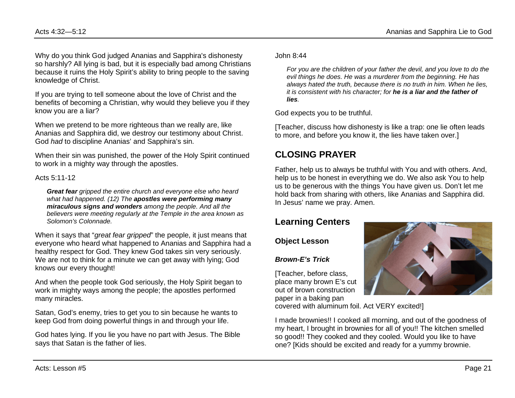Why do you think God judged Ananias and Sapphira's dishonesty so harshly? All lying is bad, but it is especially bad among Christians because it ruins the Holy Spirit's ability to bring people to the saving knowledge of Christ.

If you are trying to tell someone about the love of Christ and the benefits of becoming a Christian, why would they believe you if they know you are a liar?

When we pretend to be more righteous than we really are, like Ananias and Sapphira did, we destroy our testimony about Christ. God *had* to discipline Ananias' and Sapphira's sin.

When their sin was punished, the power of the Holy Spirit continued to work in a mighty way through the apostles.

Acts 5:11-12

*Great fear gripped the entire church and everyone else who heard what had happened. (12) The apostles were performing many miraculous signs and wonders among the people. And all the believers were meeting regularly at the Temple in the area known as Solomon's Colonnade.*

When it says that "*great fear gripped*" the people, it just means that everyone who heard what happened to Ananias and Sapphira had a healthy respect for God. They knew God takes sin very seriously. We are not to think for a minute we can get away with lying; God knows our every thought!

And when the people took God seriously, the Holy Spirit began to work in mighty ways among the people; the apostles performed many miracles.

Satan, God's enemy, tries to get you to sin because he wants to keep God from doing powerful things in and through your life.

God hates lying. If you lie you have no part with Jesus. The Bible says that Satan is the father of lies.

John 8:44

*For you are the children of your father the devil, and you love to do the evil things he does. He was a murderer from the beginning. He has always hated the truth, because there is no truth in him. When he lies, it is consistent with his character; for he is a liar and the father of lies.*

God expects you to be truthful.

[Teacher, discuss how dishonesty is like a trap: one lie often leads to more, and before you know it, the lies have taken over.]

# **CLOSING PRAYER**

Father, help us to always be truthful with You and with others. And, help us to be honest in everything we do. We also ask You to help us to be generous with the things You have given us. Don't let me hold back from sharing with others, like Ananias and Sapphira did. In Jesus' name we pray. Amen.

## **Learning Centers**

**Object Lesson**

### *Brown-E's Trick*

[Teacher, before class, place many brown E's cut out of brown construction paper in a baking pan



I made brownies!! I cooked all morning, and out of the goodness of my heart, I brought in brownies for all of you!! The kitchen smelled so good!! They cooked and they cooled. Would you like to have one? [Kids should be excited and ready for a yummy brownie.